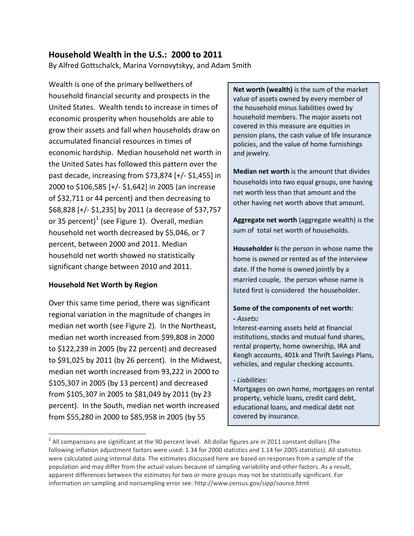### **Household Wealth in the U.S.: 2000 to 2011**

By Alfred Gottschalck, Marina Vornovytskyy, and Adam Smith

Wealth is one of the primary bellwethers of household financial security and prospects in the United States. Wealth tends to increase in times of economic prosperity when households are able to grow their assets and fall when households draw on accumulated financial resources in times of economic hardship. Median household net worth in the United Sates has followed this pattern over the past decade, increasing from \$73,874 [+/- \$1,455] in 2000 to \$106,585 [+/- \$1,642] in 2005 (an increase of \$32,711 or 44 percent) and then decreasing to \$68,828 [+/- \$1,235] by 2011 (a decrease of \$37,757 or 35 percent)<sup>[1](#page-0-0)</sup> (see Figure 1). Overall, median household net worth decreased by \$5,046, or 7 percent, between 2000 and 2011. Median household net worth showed no statistically significant change between 2010 and 2011.

#### **Household Net Worth by Region**

 $\overline{\phantom{a}}$ 

Over this same time period, there was significant regional variation in the magnitude of changes in median net worth (see Figure 2). In the Northeast, median net worth increased from \$99,808 in 2000 to \$122,239 in 2005 (by 22 percent) and decreased to \$91,025 by 2011 (by 26 percent). In the Midwest, median net worth increased from 93,222 in 2000 to \$105,307 in 2005 (by 13 percent) and decreased from \$105,307 in 2005 to \$81,049 by 2011 (by 23 percent). In the South, median net worth increased from \$55,280 in 2000 to \$85,958 in 2005 (by 55

**Net worth (wealth)** is the sum of the market value of assets owned by every member of the household minus liabilities owed by household members. The major assets not covered in this measure are equities in pension plans, the cash value of life insurance policies, and the value of home furnishings and jewelry.

**Median net worth** is the amount that divides households into two equal groups, one having net worth less than that amount and the other having net worth above that amount.

**Aggregate net worth** (aggregate wealth) is the sum of total net worth of households.

**Householder i**s the person in whose name the home is owned or rented as of the interview date. If the home is owned jointly by a married couple, the person whose name is listed first is considered the householder.

#### **Some of the components of net worth:** *- Assets:*

Interest-earning assets held at financial institutions, stocks and mutual fund shares, rental property, home ownership, IRA and Keogh accounts, 401k and Thrift Savings Plans, vehicles, and regular checking accounts.

#### *- Liabilities*:

Mortgages on own home, mortgages on rental property, vehicle loans, credit card debt, educational loans, and medical debt not covered by insurance.

<span id="page-0-0"></span> $1$  All comparisons are significant at the 90 percent level. All dollar figures are in 2011 constant dollars (The following inflation adjustment factors were used: 1.34 for 2000 statistics and 1.14 for 2005 statistics). All statistics were calculated using internal data. The estimates discussed here are based on responses from a sample of the population and may differ from the actual values because of sampling variability and other factors. As a result, apparent differences between the estimates for two or more groups may not be statistically significant. For information on sampling and nonsampling error see: http://www.census.gov/sipp/source.html.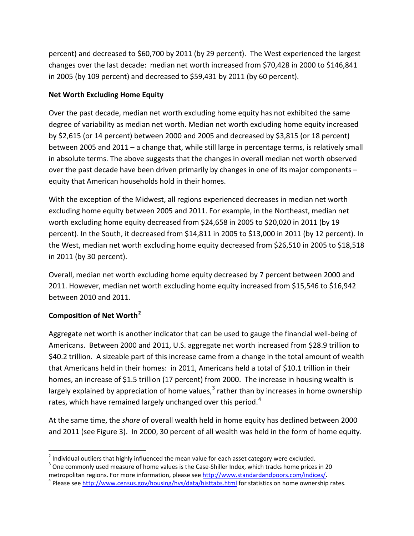percent) and decreased to \$60,700 by 2011 (by 29 percent). The West experienced the largest changes over the last decade: median net worth increased from \$70,428 in 2000 to \$146,841 in 2005 (by 109 percent) and decreased to \$59,431 by 2011 (by 60 percent).

#### **Net Worth Excluding Home Equity**

Over the past decade, median net worth excluding home equity has not exhibited the same degree of variability as median net worth. Median net worth excluding home equity increased by \$2,615 (or 14 percent) between 2000 and 2005 and decreased by \$3,815 (or 18 percent) between 2005 and 2011 – a change that, while still large in percentage terms, is relatively small in absolute terms. The above suggests that the changes in overall median net worth observed over the past decade have been driven primarily by changes in one of its major components – equity that American households hold in their homes.

With the exception of the Midwest, all regions experienced decreases in median net worth excluding home equity between 2005 and 2011. For example, in the Northeast, median net worth excluding home equity decreased from \$24,658 in 2005 to \$20,020 in 2011 (by 19 percent). In the South, it decreased from \$14,811 in 2005 to \$13,000 in 2011 (by 12 percent). In the West, median net worth excluding home equity decreased from \$26,510 in 2005 to \$18,518 in 2011 (by 30 percent).

Overall, median net worth excluding home equity decreased by 7 percent between 2000 and 2011. However, median net worth excluding home equity increased from \$15,546 to \$16,942 between 2010 and 2011.

### **Composition of Net Worth[2](#page-1-0)**

 $\overline{\phantom{a}}$ 

Aggregate net worth is another indicator that can be used to gauge the financial well-being of Americans. Between 2000 and 2011, U.S. aggregate net worth increased from \$28.9 trillion to \$40.2 trillion. A sizeable part of this increase came from a change in the total amount of wealth that Americans held in their homes: in 2011, Americans held a total of \$10.1 trillion in their homes, an increase of \$1.5 trillion (17 percent) from 2000. The increase in housing wealth is largely explained by appreciation of home values, $^3$  $^3$  rather than by increases in home ownership rates, which have remained largely unchanged over this period.<sup>[4](#page-1-2)</sup>

At the same time, the *share* of overall wealth held in home equity has declined between 2000 and 2011 (see Figure 3). In 2000, 30 percent of all wealth was held in the form of home equity.

<span id="page-1-0"></span><sup>&</sup>lt;sup>2</sup> Individual outliers that highly influenced the mean value for each asset category were excluded.<br><sup>3</sup> One commonly used measure of home values is the Case-Shiller Index, which tracks home prices in 20

<span id="page-1-2"></span><span id="page-1-1"></span>metropolitan regions. For more information, please see [http://www.standardandpoors.com/indices/.](http://www.standardandpoors.com/indices/)<br><sup>4</sup> Please see<http://www.census.gov/housing/hvs/data/histtabs.html> for statistics on home ownership rates.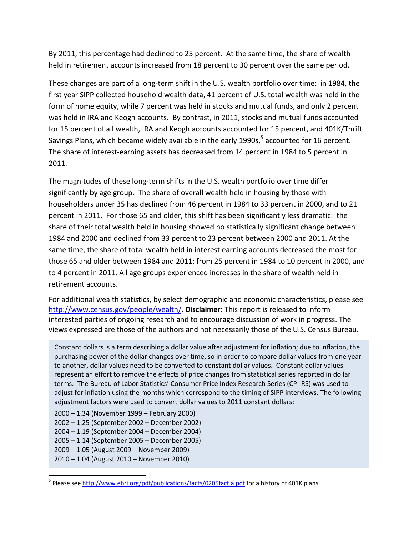By 2011, this percentage had declined to 25 percent. At the same time, the share of wealth held in retirement accounts increased from 18 percent to 30 percent over the same period.

These changes are part of a long-term shift in the U.S. wealth portfolio over time: in 1984, the first year SIPP collected household wealth data, 41 percent of U.S. total wealth was held in the form of home equity, while 7 percent was held in stocks and mutual funds, and only 2 percent was held in IRA and Keogh accounts. By contrast, in 2011, stocks and mutual funds accounted for 15 percent of all wealth, IRA and Keogh accounts accounted for 15 percent, and 401K/Thrift Savings Plans, which became widely available in the early 1990s,  $5$  accounted for 16 percent. The share of interest-earning assets has decreased from 14 percent in 1984 to 5 percent in 2011.

The magnitudes of these long-term shifts in the U.S. wealth portfolio over time differ significantly by age group. The share of overall wealth held in housing by those with householders under 35 has declined from 46 percent in 1984 to 33 percent in 2000, and to 21 percent in 2011. For those 65 and older, this shift has been significantly less dramatic: the share of their total wealth held in housing showed no statistically significant change between 1984 and 2000 and declined from 33 percent to 23 percent between 2000 and 2011. At the same time, the share of total wealth held in interest earning accounts decreased the most for those 65 and older between 1984 and 2011: from 25 percent in 1984 to 10 percent in 2000, and to 4 percent in 2011. All age groups experienced increases in the share of wealth held in retirement accounts.

For additional wealth statistics, by select demographic and economic characteristics, please see [http://www.census.gov/people/wealth/.](http://www.census.gov/people/wealth/) **Disclaimer:** This report is released to inform interested parties of ongoing research and to encourage discussion of work in progress. The views expressed are those of the authors and not necessarily those of the U.S. Census Bureau.

Constant dollars is a term describing a dollar value after adjustment for inflation; due to inflation, the purchasing power of the dollar changes over time, so in order to compare dollar values from one year to another, dollar values need to be converted to constant dollar values. Constant dollar values represent an effort to remove the effects of price changes from statistical series reported in dollar terms. The Bureau of Labor Statistics' Consumer Price Index Research Series (CPI-RS) was used to adjust for inflation using the months which correspond to the timing of SIPP interviews. The following adjustment factors were used to convert dollar values to 2011 constant dollars:

2000 – 1.34 (November 1999 – February 2000) 2002 – 1.25 (September 2002 – December 2002) 2004 – 1.19 (September 2004 – December 2004) 2005 – 1.14 (September 2005 – December 2005) 2009 – 1.05 (August 2009 – November 2009) 2010 – 1.04 (August 2010 – November 2010)

l

<span id="page-2-0"></span><sup>&</sup>lt;sup>5</sup> Please see<http://www.ebri.org/pdf/publications/facts/0205fact.a.pdf> for a history of 401K plans.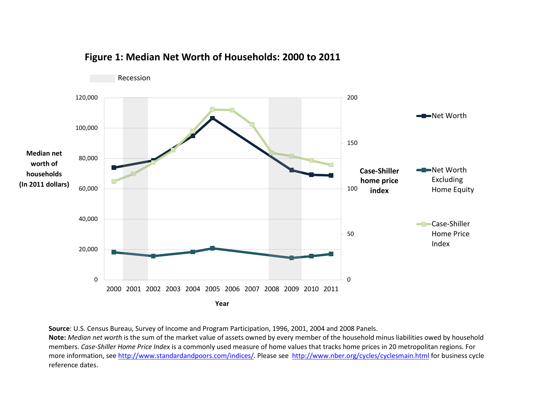

## **Figure 1: Median Net Worth of Households: 2000 to 2011**

**Source**: U.S. Census Bureau, Survey of Income and Program Participation, 1996, 2001, 2004 and 2008 Panels.

**Note:** *Median net worth* is the sum of the market value of assets owned by every member of the household minus liabilities owed by household members. *Case-Shiller Home Price Index* is a commonly used measure of home values that tracks home prices in 20 metropolitan regions. For more information, se[e http://www.standardandpoors.com/indices/.](http://www.standardandpoors.com/indices/) Please see<http://www.nber.org/cycles/cyclesmain.html> for business cycle reference dates.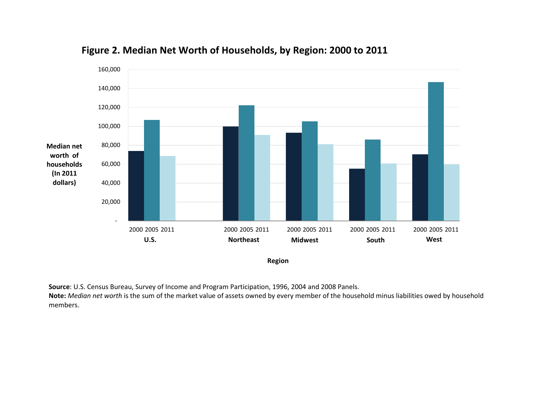

# **Figure 2. Median Net Worth of Households, by Region: 2000 to 2011**

**Region**

**Source**: U.S. Census Bureau, Survey of Income and Program Participation, 1996, 2004 and 2008 Panels.

**Note:** *Median net worth* is the sum of the market value of assets owned by every member of the household minus liabilities owed by household members.